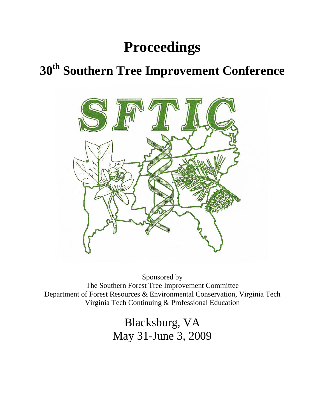# **Proceedings**

## **30th Southern Tree Improvement Conference**



Sponsored by The Southern Forest Tree Improvement Committee Department of Forest Resources & Environmental Conservation, Virginia Tech Virginia Tech Continuing & Professional Education

> Blacksburg, VA May 31-June 3, 2009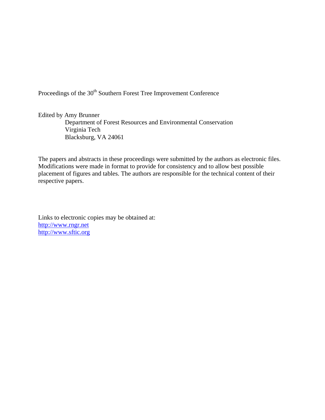Proceedings of the 30<sup>th</sup> Southern Forest Tree Improvement Conference

Edited by Amy Brunner

Department of Forest Resources and Environmental Conservation Virginia Tech Blacksburg, VA 24061

The papers and abstracts in these proceedings were submitted by the authors as electronic files. Modifications were made in format to provide for consistency and to allow best possible placement of figures and tables. The authors are responsible for the technical content of their respective papers.

Links to electronic copies may be obtained at: http://www.rngr.net http://www.sftic.org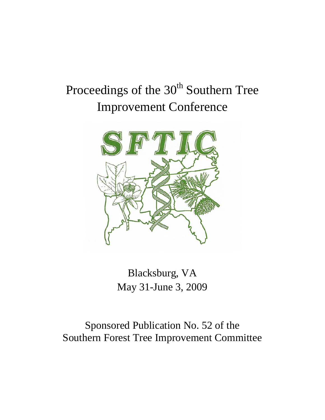# Proceedings of the 30<sup>th</sup> Southern Tree Improvement Conference



Blacksburg, VA May 31-June 3, 2009

Sponsored Publication No. 52 of the Southern Forest Tree Improvement Committee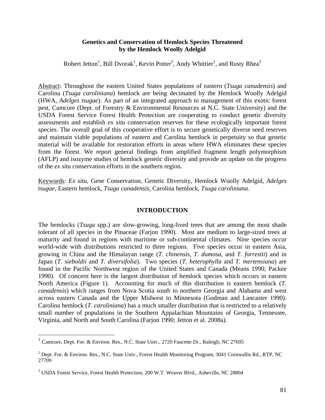#### **Genetics and Conservation of Hemlock Species Threatened by the Hemlock Woolly Adelgid**

Robert Jetton<sup>1</sup>, Bill Dvorak<sup>1</sup>, Kevin Potter<sup>2</sup>, Andy Whittier<sup>1</sup>, and Rusty Rhea<sup>3</sup>

Abstract: Throughout the eastern United States populations of eastern (*Tsuga canadensis*) and Carolina (*Tsuga caroliniana*) hemlock are being decimated by the Hemlock Woolly Adelgid (HWA, *Adelges tsugae*). As part of an integrated approach to management of this exotic forest pest, Camcore (Dept. of Forestry & Environmental Resources at N.C. State University) and the USDA Forest Service Forest Health Protection are cooperating to conduct genetic diversity assessments and establish *ex situ* conservation reserves for these ecologically important forest species. The overall goal of this cooperative effort is to secure genetically diverse seed reserves and maintain viable populations of eastern and Carolina hemlock in perpetuity so that genetic material will be available for restoration efforts in areas where HWA eliminates these species from the forest. We report general findings from amplified fragment length polymorphism (AFLP) and isozyme studies of hemlock genetic diversity and provide an update on the progress of the *ex situ* conservation efforts in the southern region.

Keywords: *Ex situ*, Gene Conservation, Genetic Diversity, Hemlock Woolly Adelgid, *Adelges tsugae*, Eastern hemlock, *Tsuga canadensis*, Carolina hemlock, *Tsuga caroliniana*.

#### **INTRODUCTION**

The hemlocks (*Tsuga* spp.) are slow-growing, long-lived trees that are among the most shade tolerant of all species in the Pinaceae (Farjon 1990). Most are medium to large-sized trees at maturity and found in regions with maritime or sub-continental climates. Nine species occur world-wide with distributions restricted to three regions. Five species occur in eastern Asia, growing in China and the Himalayan range (*T. chinensis, T. dumosa,* and *T. forrestii*) and in Japan (*T. sieboldii* and *T. diversifolia*). Two species (*T. heterophylla* and *T. mertensiana*) are found in the Pacific Northwest region of the United States and Canada (Means 1990; Packee 1990). Of concern here is the largest distribution of hemlock species which occurs in eastern North America (Figure 1). Accounting for much of this distribution is eastern hemlock (*T. canadensis*) which ranges from Nova Scotia south to northern Georgia and Alabama and west across eastern Canada and the Upper Midwest to Minnesota (Godman and Lancaster 1990). Carolina hemlock (*T. caroliniana*) has a much smaller distribution that is restricted to a relatively small number of populations in the Southern Appalachian Mountains of Georgia, Tennessee, Virginia, and North and South Carolina (Farjon 1990; Jetton et al. 2008a).

 $\overline{a}$ 

 $<sup>1</sup>$  Camcore, Dept. For. & Environ. Res., N.C. State Univ., 2720 Faucette Dr., Raleigh, NC 27695</sup>

 $^2$  Dept. For. & Environ. Res., N.C. State Univ., Forest Health Monitoring Program, 3041 Cornwallis Rd., RTP, NC 27709

<sup>&</sup>lt;sup>3</sup> USDA Forest Service, Forest Health Protection, 200 W.T. Weaver Blvd., Asheville, NC 28804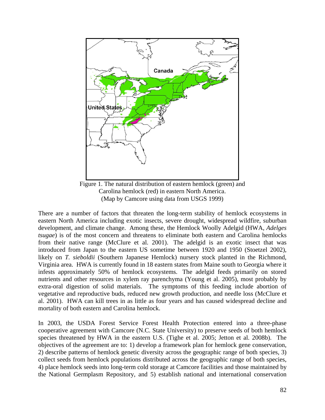

Carolina hemlock (red) in eastern North America. (Map by Camcore using data from USGS 1999)

There are a number of factors that threaten the long-term stability of hemlock ecosystems in eastern North America including exotic insects, severe drought, widespread wildfire, suburban development, and climate change. Among these, the Hemlock Woolly Adelgid (HWA, *Adelges tsugae*) is of the most concern and threatens to eliminate both eastern and Carolina hemlocks from their native range (McClure et al. 2001). The adelgid is an exotic insect that was introduced from Japan to the eastern US sometime between 1920 and 1950 (Stoetzel 2002), likely on *T. sieboldii* (Southern Japanese Hemlock) nursery stock planted in the Richmond, Virginia area. HWA is currently found in 18 eastern states from Maine south to Georgia where it infests approximately 50% of hemlock ecosystems. The adelgid feeds primarily on stored nutrients and other resources in xylem ray parenchyma (Young et al. 2005), most probably by extra-oral digestion of solid materials. The symptoms of this feeding include abortion of vegetative and reproductive buds, reduced new growth production, and needle loss (McClure et al. 2001). HWA can kill trees in as little as four years and has caused widespread decline and mortality of both eastern and Carolina hemlock.

In 2003, the USDA Forest Service Forest Health Protection entered into a three-phase cooperative agreement with Camcore (N.C. State University) to preserve seeds of both hemlock species threatened by HWA in the eastern U.S. (Tighe et al. 2005; Jetton et al. 2008b). The objectives of the agreement are to: 1) develop a framework plan for hemlock gene conservation, 2) describe patterns of hemlock genetic diversity across the geographic range of both species, 3) collect seeds from hemlock populations distributed across the geographic range of both species, 4) place hemlock seeds into long-term cold storage at Camcore facilities and those maintained by the National Germplasm Repository, and 5) establish national and international conservation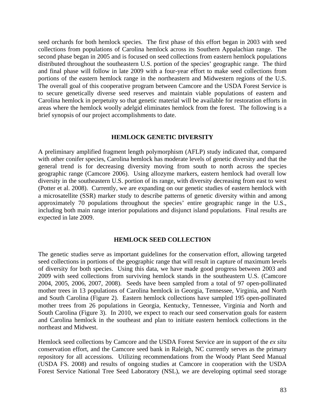seed orchards for both hemlock species. The first phase of this effort began in 2003 with seed collections from populations of Carolina hemlock across its Southern Appalachian range. The second phase began in 2005 and is focused on seed collections from eastern hemlock populations distributed throughout the southeastern U.S. portion of the species' geographic range. The third and final phase will follow in late 2009 with a four-year effort to make seed collections from portions of the eastern hemlock range in the northeastern and Midwestern regions of the U.S. The overall goal of this cooperative program between Camcore and the USDA Forest Service is to secure genetically diverse seed reserves and maintain viable populations of eastern and Carolina hemlock in perpetuity so that genetic material will be available for restoration efforts in areas where the hemlock woolly adelgid eliminates hemlock from the forest. The following is a brief synopsis of our project accomplishments to date.

### **HEMLOCK GENETIC DIVERSITY**

A preliminary amplified fragment length polymorphism (AFLP) study indicated that, compared with other conifer species, Carolina hemlock has moderate levels of genetic diversity and that the general trend is for decreasing diversity moving from south to north across the species geographic range (Camcore 2006). Using allozyme markers, eastern hemlock had overall low diversity in the southeastern U.S. portion of its range, with diversity decreasing from east to west (Potter et al. 2008). Currently, we are expanding on our genetic studies of eastern hemlock with a microsatellite (SSR) marker study to describe patterns of genetic diversity within and among approximately 70 populations throughout the species' entire geographic range in the U.S., including both main range interior populations and disjunct island populations. Final results are expected in late 2009.

#### **HEMLOCK SEED COLLECTION**

The genetic studies serve as important guidelines for the conservation effort, allowing targeted seed collections in portions of the geographic range that will result in capture of maximum levels of diversity for both species. Using this data, we have made good progress between 2003 and 2009 with seed collections from surviving hemlock stands in the southeastern U.S. (Camcore 2004, 2005, 2006, 2007, 2008). Seeds have been sampled from a total of 97 open-pollinated mother trees in 13 populations of Carolina hemlock in Georgia, Tennessee, Virginia, and North and South Carolina (Figure 2). Eastern hemlock collections have sampled 195 open-pollinated mother trees from 26 populations in Georgia, Kentucky, Tennessee, Virginia and North and South Carolina (Figure 3). In 2010, we expect to reach our seed conservation goals for eastern and Carolina hemlock in the southeast and plan to initiate eastern hemlock collections in the northeast and Midwest.

Hemlock seed collections by Camcore and the USDA Forest Service are in support of the *ex situ* conservation effort, and the Camcore seed bank in Raleigh, NC currently serves as the primary repository for all accessions. Utilizing recommendations from the Woody Plant Seed Manual (USDA FS. 2008) and results of ongoing studies at Camcore in cooperation with the USDA Forest Service National Tree Seed Laboratory (NSL), we are developing optimal seed storage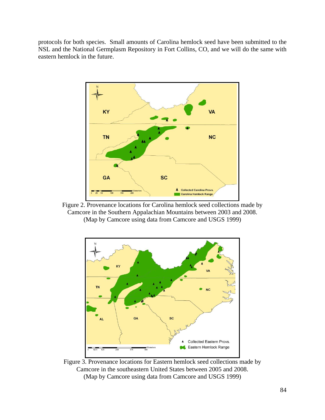protocols for both species. Small amounts of Carolina hemlock seed have been submitted to the NSL and the National Germplasm Repository in Fort Collins, CO, and we will do the same with eastern hemlock in the future.



Figure 2. Provenance locations for Carolina hemlock seed collections made by Camcore in the Southern Appalachian Mountains between 2003 and 2008. (Map by Camcore using data from Camcore and USGS 1999)



Figure 3. Provenance locations for Eastern hemlock seed collections made by Camcore in the southeastern United States between 2005 and 2008. (Map by Camcore using data from Camcore and USGS 1999)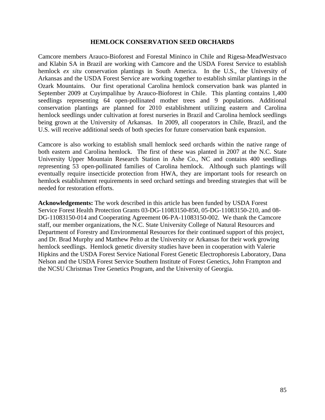#### **HEMLOCK CONSERVATION SEED ORCHARDS**

Camcore members Arauco-Bioforest and Forestal Mininco in Chile and Rigesa-MeadWestvaco and Klabin SA in Brazil are working with Camcore and the USDA Forest Service to establish hemlock *ex situ* conservation plantings in South America. In the U.S., the University of Arkansas and the USDA Forest Service are working together to establish similar plantings in the Ozark Mountains. Our first operational Carolina hemlock conservation bank was planted in September 2009 at Cuyimpalihue by Arauco-Bioforest in Chile. This planting contains 1,400 seedlings representing 64 open-pollinated mother trees and 9 populations. Additional conservation plantings are planned for 2010 establishment utilizing eastern and Carolina hemlock seedlings under cultivation at forest nurseries in Brazil and Carolina hemlock seedlings being grown at the University of Arkansas. In 2009, all cooperators in Chile, Brazil, and the U.S. will receive additional seeds of both species for future conservation bank expansion.

Camcore is also working to establish small hemlock seed orchards within the native range of both eastern and Carolina hemlock. The first of these was planted in 2007 at the N.C. State University Upper Mountain Research Station in Ashe Co., NC and contains 400 seedlings representing 53 open-pollinated families of Carolina hemlock. Although such plantings will eventually require insecticide protection from HWA, they are important tools for research on hemlock establishment requirements in seed orchard settings and breeding strategies that will be needed for restoration efforts.

**Acknowledgements:** The work described in this article has been funded by USDA Forest Service Forest Health Protection Grants 03-DG-11083150-850, 05-DG-11083150-210, and 08- DG-11083150-014 and Cooperating Agreement 06-PA-11083150-002. We thank the Camcore staff, our member organizations, the N.C. State University College of Natural Resources and Department of Forestry and Environmental Resources for their continued support of this project, and Dr. Brad Murphy and Matthew Pelto at the University or Arkansas for their work growing hemlock seedlings. Hemlock genetic diversity studies have been in cooperation with Valerie Hipkins and the USDA Forest Service National Forest Genetic Electrophoresis Laboratory, Dana Nelson and the USDA Forest Service Southern Institute of Forest Genetics, John Frampton and the NCSU Christmas Tree Genetics Program, and the University of Georgia.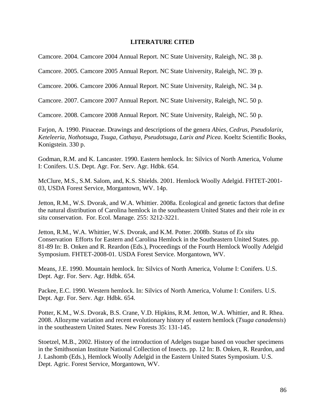### **LITERATURE CITED**

Camcore. 2004. Camcore 2004 Annual Report. NC State University, Raleigh, NC. 38 p.

Camcore. 2005. Camcore 2005 Annual Report. NC State University, Raleigh, NC. 39 p.

Camcore. 2006. Camcore 2006 Annual Report. NC State University, Raleigh, NC. 34 p.

Camcore. 2007. Camcore 2007 Annual Report. NC State University, Raleigh, NC. 50 p.

Camcore. 2008. Camcore 2008 Annual Report. NC State University, Raleigh, NC. 50 p.

Farjon, A. 1990. Pinaceae. Drawings and descriptions of the genera *Abies, Cedrus, Pseudolarix, Keteleeria, Nothotsuga, Tsuga, Cathaya, Pseudotsuga, Larix and Picea*. Koeltz Scientific Books, Konigstein. 330 p.

Godman, R.M. and K. Lancaster. 1990. Eastern hemlock. In: Silvics of North America, Volume I: Conifers. U.S. Dept. Agr. For. Serv. Agr. Hdbk. 654.

McClure, M.S., S.M. Salom, and, K.S. Shields. 2001. Hemlock Woolly Adelgid. FHTET-2001- 03, USDA Forest Service, Morgantown, WV. 14p.

Jetton, R.M., W.S. Dvorak, and W.A. Whittier. 2008a. Ecological and genetic factors that define the natural distribution of Carolina hemlock in the southeastern United States and their role in *ex situ* conservation. For. Ecol. Manage. 255: 3212-3221.

Jetton, R.M., W.A. Whittier, W.S. Dvorak, and K.M. Potter. 2008b. Status of *Ex situ* Conservation Efforts for Eastern and Carolina Hemlock in the Southeastern United States. pp. 81-89 In: B. Onken and R. Reardon (Eds.), Proceedings of the Fourth Hemlock Woolly Adelgid Symposium. FHTET-2008-01. USDA Forest Service. Morgantown, WV.

Means, J.E. 1990. Mountain hemlock. In: Silvics of North America, Volume I: Conifers. U.S. Dept. Agr. For. Serv. Agr. Hdbk. 654.

Packee, E.C. 1990. Western hemlock. In: Silvics of North America, Volume I: Conifers. U.S. Dept. Agr. For. Serv. Agr. Hdbk. 654.

Potter, K.M., W.S. Dvorak, B.S. Crane, V.D. Hipkins, R.M. Jetton, W.A. Whittier, and R. Rhea. 2008. Allozyme variation and recent evolutionary history of eastern hemlock (*Tsuga canadensis*) in the southeastern United States. New Forests 35: 131-145.

Stoetzel, M.B., 2002. History of the introduction of Adelges tsugae based on voucher specimens in the Smithsonian Institute National Collection of Insects. pp. 12 In: B. Onken, R. Reardon, and J. Lashomb (Eds.), Hemlock Woolly Adelgid in the Eastern United States Symposium. U.S. Dept. Agric. Forest Service, Morgantown, WV.